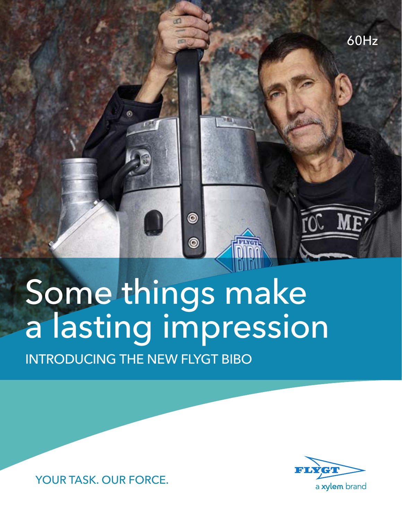

# Some things make a lasting impression

INTRODUCING THE NEW FLYGT BIBO



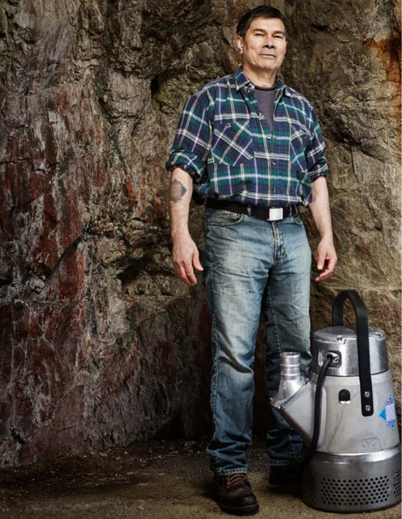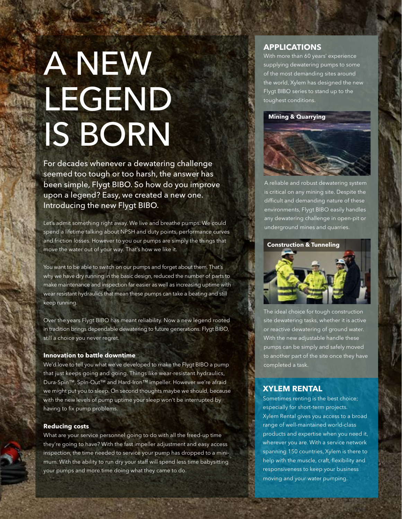# **ANEW LEGEND** IS BORN

For decades whenever a dewatering challenge seemed too tough or too harsh, the answer has been simple, Flygt BIBO. So how do you improve upon a legend? Easy, we created a new one. Introducing the new Flygt BIBO.

Let's admit something right away. We live and breathe pumps. We could spend a lifetime talking about NPSH and duty points, performance curves and friction losses. However to you our pumps are simply the things that move the water out of your way. That's how we like it.

You want to be able to switch on our pumps and forget about them. That's why we have dry running in the basic design, reduced the number of parts to make maintenance and inspection far easier as well as increasing uptime with wear resistant hydraulics that mean these pumps can take a beating and still keep running.

Over the years Flygt BIBO has meant reliability. Now a new legend rooted in tradition brings dependable dewatering to future generations. Flygt BIBO, still a choice you never regret.

#### **Innovation to battle downtime**

We'd love to tell you what we've developed to make the Flygt BIBO a pump that just keeps going and going. Things like wear-resistant hydraulics, Dura-Spin™, Spin-Out™ and Hard-Iron™ impeller. However we're afraid we might put you to sleep. On second thoughts maybe we should, because with the new levels of pump uptime your sleep won't be interrupted by having to fix pump problems.

#### **Reducing costs**

What are your service personnel going to do with all the freed-up time they're going to have? With the fast impeller adjustment and easy access inspection, the time needed to service your pump has dropped to a minimum. With the ability to run dry your staff will spend less time babysitting your pumps and more time doing what they came to do.

#### **APPLICATIONS**

With more than 60 years' experience supplying dewatering pumps to some of the most demanding sites around the world, Xylem has designed the new Flygt BIBO series to stand up to the toughest conditions.



A reliable and robust dewatering system is critical on any mining site. Despite the difficult and demanding nature of these environments, Flygt BIBO easily handles any dewatering challenge in open-pit or underground mines and quarries.

#### **Construction & Tunneling**



The ideal choice for tough construction site dewatering tasks, whether it is active or reactive dewatering of ground water. With the new adjustable handle these pumps can be simply and safely moved to another part of the site once they have completed a task.

#### **XYLEM RENTAL**

Sometimes renting is the best choice; especially for short-term projects. Xylem Rental gives you access to a broad range of well-maintained world-class products and expertise when you need it, wherever you are. With a service network spanning 150 countries, Xylem is there to help with the muscle, craft, flexibility and responsiveness to keep your business moving and your water pumping.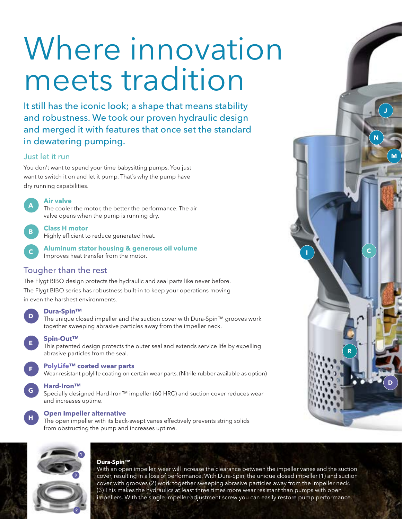# Where innovation meets tradition

It still has the iconic look; a shape that means stability and robustness. We took our proven hydraulic design and merged it with features that once set the standard in dewatering pumping.

### Just let it run

You don't want to spend your time babysitting pumps. You just want to switch it on and let it pump. That´s why the pump have dry running capabilities.



### **Air valve**

The cooler the motor, the better the performance. The air valve opens when the pump is running dry.

## **B**

**C**

Highly efficient to reduce generated heat.

**Aluminum stator housing & generous oil volume** Improves heat transfer from the motor.

## Tougher than the rest

**Class H motor** 

The Flygt BIBO design protects the hydraulic and seal parts like never before. The Flygt BIBO series has robustness built-in to keep your operations moving in even the harshest environments.

#### **Dura-Spin™**

The unique closed impeller and the suction cover with Dura-Spin™ grooves work together sweeping abrasive particles away from the impeller neck.



**D**

**F**

**G**

**H**

#### **Spin-Out™**

This patented design protects the outer seal and extends service life by expelling abrasive particles from the seal.

#### **PolyLife™ coated wear parts**

Wear-resistant polylife coating on certain wear parts. (Nitrile rubber available as option)

#### **Hard-Iron™**

Specially designed Hard-Iron<sup>™</sup> impeller (60 HRC) and suction cover reduces wear and increases uptime.

#### **Open Impeller alternative**

The open impeller with its back-swept vanes effectively prevents string solids from obstructing the pump and increases uptime.



#### **Dura-Spin™**

With an open impeller, wear will increase the clearance between the impeller vanes and the suction cover, resulting in a loss of performance. With Dura-Spin, the unique closed impeller (1) and suction cover with grooves (2) work together sweeping abrasive particles away from the impeller neck. (3) This makes the hydraulics at least three times more wear resistant than pumps with open impellers. With the single impeller-adjustment screw you can easily restore pump performance.

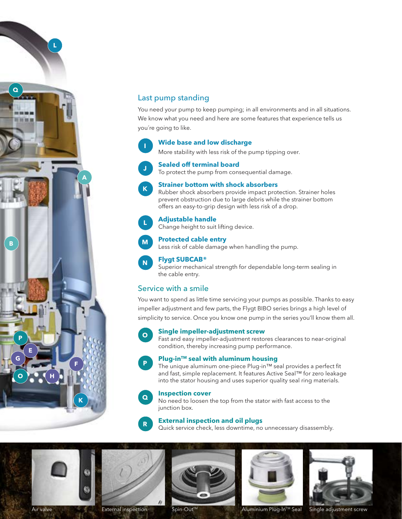

## Last pump standing

You need your pump to keep pumping; in all environments and in all situations. We know what you need and here are some features that experience tells us you´re going to like.



#### **Wide base and low discharge**

More stability with less risk of the pump tipping over.



## **Sealed off terminal board**

To protect the pump from consequential damage.



#### **Strainer bottom with shock absorbers**

Rubber shock absorbers provide impact protection. Strainer holes prevent obstruction due to large debris while the strainer bottom offers an easy-to-grip design with less risk of a drop.



**Adjustable handle** 

Change height to suit lifting device.



#### **Protected cable entry**

Less risk of cable damage when handling the pump.



#### **Flygt SUBCAB®**

Superior mechanical strength for dependable long-term sealing in the cable entry.

### Service with a smile

You want to spend as little time servicing your pumps as possible. Thanks to easy impeller adjustment and few parts, the Flygt BIBO series brings a high level of simplicity to service. Once you know one pump in the series you'll know them all.



#### **Single impeller-adjustment screw**

Fast and easy impeller-adjustment restores clearances to near-original condition, thereby increasing pump performance.



#### **Plug-in™ seal with aluminum housing**

The unique aluminum one-piece Plug-in™ seal provides a perfect fit and fast, simple replacement. It features Active Seal™ for zero leakage into the stator housing and uses superior quality seal ring materials.

#### **Inspection cover**

No need to loosen the top from the stator with fast access to the junction box.



**Q**

#### **External inspection and oil plugs**

Quick service check, less downtime, no unnecessary disassembly. **<sup>R</sup>**







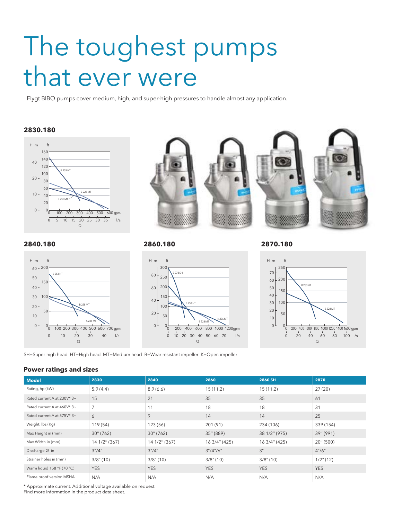# The toughest pumps that ever were

Flygt BIBO pumps cover medium, high, and super-high pressures to handle almost any application.

#### **2830.180**













SH=Super high head HT=High head MT=Medium head B=Wear resistant impeller K=Open impeller

#### **Power ratings and sizes**

| <b>Model</b>                | 2830          | 2840          | 2860          | 2860 SH         | 2870         |
|-----------------------------|---------------|---------------|---------------|-----------------|--------------|
| Rating, hp (kW)             | 5.9(4.4)      | 8.9(6.6)      | 15(11.2)      | 15(11.2)        | 27(20)       |
| Rated current A at 230V* 3~ | 15            | 21            | 35            | 35              | 61           |
| Rated current A at 460V* 3~ | 7             | 11            | 18            | 18              | 31           |
| Rated current A at 575V* 3~ | 6             | 9             | 14            | 14              | 25           |
| Weight, Ibs (Kg)            | 119 (54)      | 123(56)       | 201 (91)      | 234 (106)       | 339 (154)    |
| Max Height in (mm)          | 30''(762)     | 30''(762)     | 35" (889)     | 38 1/2" (975)   | 39" (991)    |
| Max Width in (mm)           | 14 1/2" (367) | 14 1/2" (367) | 16 3/4" (425) | 16 3/4" (425)   | 20" (500)    |
| Discharge $\varnothing$ in  | 3''/4''       | 3''/4''       | 3''/4''/6''   | 3 <sup>''</sup> | 4''/6''      |
| Strainer holes in (mm)      | $3/8$ " (10)  | $3/8$ " (10)  | $3/8$ " (10)  | $3/8$ " (10)    | $1/2$ " (12) |
| Warm liquid 158 °F (70 °C)  | <b>YES</b>    | <b>YES</b>    | <b>YES</b>    | <b>YES</b>      | <b>YES</b>   |
| Flame proof version MSHA    | N/A           | N/A           | N/A           | N/A             | N/A          |

\* Approximate current. Additional voltage available on request. Find more information in the product data sheet.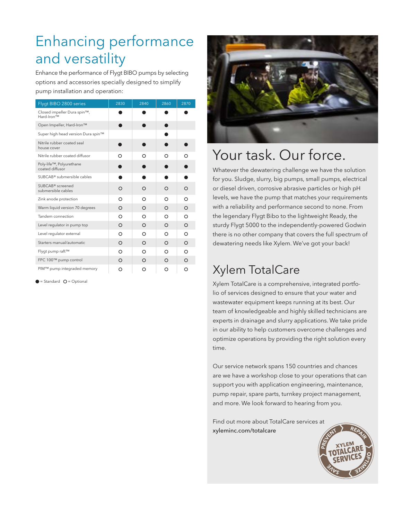# Enhancing performance and versatility

Enhance the performance of Flygt BIBO pumps by selecting options and accessories specially designed to simplify pump installation and operation:

| Flygt BIBO 2800 series                             | 2830     | 2840 | 2860     | 2870     |
|----------------------------------------------------|----------|------|----------|----------|
| Closed impeller Dura spin™,<br>Hard-Iron™          |          |      |          |          |
| Open Impeller, Hard-Iron™                          |          |      |          |          |
| Super high head version Dura spin™                 |          |      |          |          |
| Nitrile rubber coated seal<br>house cover          |          |      |          |          |
| Nitrile rubber coated diffusor                     | ∩        |      | ∩        | ∩        |
| Poly-life™, Polyurethane<br>coated diffusor        |          |      |          |          |
| SUBCAB <sup>®</sup> submersible cables             |          |      |          |          |
| SUBCAB <sup>®</sup> screened<br>submersible cables | ∩        | ∩    | ◯        | ∩        |
| Zink anode protection                              | ∩        | ∩    | Ω        | ∩        |
| Warm liquid version 70 degrees                     | ∩        | ◠    | $\Omega$ | ◠        |
| Tandem connection                                  | ∩        | ∩    | ∩        | Ω        |
| Level regulator in pump top                        | $\Omega$ | ◠    | ∩        | $\Omega$ |
| Level regulator external                           | O        | ◠    | ∩        | ◠        |
| Starters manual/automatic                          | $\circ$  | ∩    | ∩        | ◠        |
| Flygt pump raft™                                   | ∩        | ∩    | ∩        | Ω        |
| FPC 100™ pump control                              | ◠        | ∩    | ∩        | റ        |
| PIM™ pump integraded memory                        | Ω        | Ω    | Ω        | O        |

 $=$  Standard  $O =$  Optional



# Your task. Our force.

Whatever the dewatering challenge we have the solution for you. Sludge, slurry, big pumps, small pumps, electrical or diesel driven, corrosive abrasive particles or high pH levels, we have the pump that matches your requirements with a reliability and performance second to none. From the legendary Flygt Bibo to the lightweight Ready, the sturdy Flygt 5000 to the independently-powered Godwin there is no other company that covers the full spectrum of dewatering needs like Xylem. We've got your back!

## Xylem TotalCare

Xylem TotalCare is a comprehensive, integrated portfolio of services designed to ensure that your water and wastewater equipment keeps running at its best. Our team of knowledgeable and highly skilled technicians are experts in drainage and slurry applications. We take pride in our ability to help customers overcome challenges and optimize operations by providing the right solution every time.

Our service network spans 150 countries and chances are we have a workshop close to your operations that can support you with application engineering, maintenance, pump repair, spare parts, turnkey project management, and more. We look forward to hearing from you.

Find out more about TotalCare services at xyleminc.com/totalcare